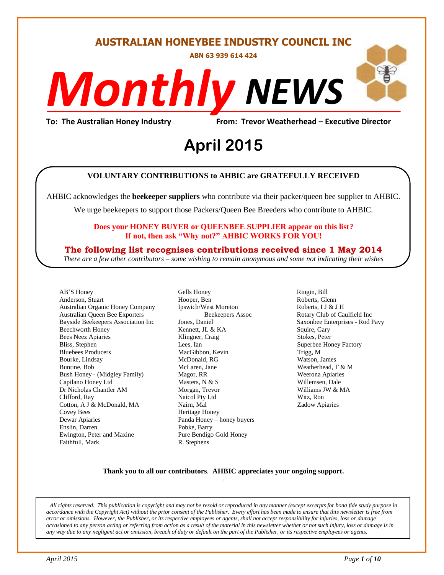#### **AUSTRALIAN HONEYBEE INDUSTRY COUNCIL INC**

**ABN 63 939 614 424**

# *NEWS Monthly*

**To: The Australian Honey Industry From: Trevor Weatherhead – Executive Director**

# *DS* **April 2015**

#### **VOLUNTARY CONTRIBUTIONS to AHBIC are GRATEFULLY RECEIVED**

AHBIC acknowledges the **beekeeper suppliers** who contribute via their packer/queen bee supplier to AHBIC.

We urge beekeepers to support those Packers/Queen Bee Breeders who contribute to AHBIC.

#### **Does your HONEY BUYER or QUEENBEE SUPPLIER appear on this list? If not, then ask "Why not?" AHBIC WORKS FOR YOU!**

#### **The following list recognises contributions received since 1 May 2014**

*There are a few other contributors – some wishing to remain anonymous and some not indicating their wishes*

AB'S Honey Anderson, Stuart Australian Organic Honey Company Australian Queen Bee Exporters Bayside Beekeepers Association Inc Beechworth Honey Bees Neez Apiaries Bliss, Stephen Bluebees Producers Bourke, Lindsay Buntine, Bob Bush Honey - (Midgley Family) Capilano Honey Ltd Dr Nicholas Chantler AM Clifford, Ray Cotton, A J & McDonald, MA Covey Bees Dewar Apiaries Enslin, Darren Ewington, Peter and Maxine Faithfull, Mark

Gells Honey Hooper, Ben Ipswich/West Moreton Beekeepers Assoc Jones, Daniel Kennett, JL & KA Klingner, Craig Lees, Ian MacGibbon, Kevin McDonald, RG McLaren, Jane Magor, RR Masters, N & S Morgan, Trevor Naicol Pty Ltd Nairn, Mal Heritage Honey Panda Honey – honey buyers Pobke, Barry Pure Bendigo Gold Honey R. Stephens

Ringin, Bill Roberts, Glenn Roberts, I J & J H Rotary Club of Caulfield Inc Saxonbee Enterprises - Rod Pavy Squire, Gary Stokes, Peter Superbee Honey Factory Trigg, M Watson, James Weatherhead, T & M Weerona Apiaries Willemsen, Dale Williams JW & MA Witz, Ron Zadow Apiaries

#### **Thank you to all our contributors***.* **AHBIC appreciates your ongoing support.** .

*All rights reserved. This publication is copyright and may not be resold or reproduced in any manner (except excerpts for bona fide study purpose in accordance with the Copyright Act) without the prior consent of the Publisher. Every effort has been made to ensure that this newsletter is free from error or omissions. However, the Publisher, or its respective employees or agents, shall not accept responsibility for injuries, loss or damage occasioned to any person acting or referring from action as a result of the material in this newsletter whether or not such injury, loss or damage is in any way due to any negligent act or omission, breach of duty or default on the part of the Publisher, or its respective employees or agents.*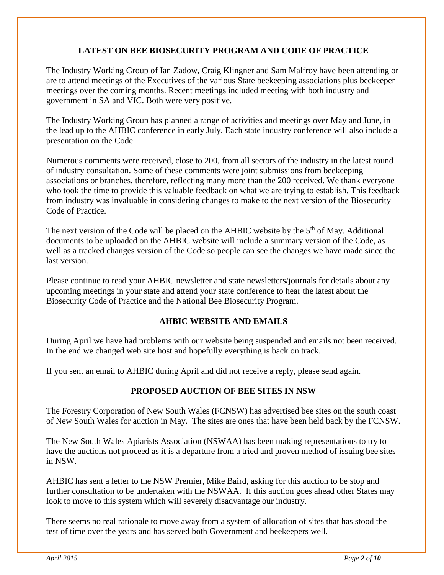#### **LATEST ON BEE BIOSECURITY PROGRAM AND CODE OF PRACTICE**

The Industry Working Group of Ian Zadow, Craig Klingner and Sam Malfroy have been attending or are to attend meetings of the Executives of the various State beekeeping associations plus beekeeper meetings over the coming months. Recent meetings included meeting with both industry and government in SA and VIC. Both were very positive.

The Industry Working Group has planned a range of activities and meetings over May and June, in the lead up to the AHBIC conference in early July. Each state industry conference will also include a presentation on the Code.

Numerous comments were received, close to 200, from all sectors of the industry in the latest round of industry consultation. Some of these comments were joint submissions from beekeeping associations or branches, therefore, reflecting many more than the 200 received. We thank everyone who took the time to provide this valuable feedback on what we are trying to establish. This feedback from industry was invaluable in considering changes to make to the next version of the Biosecurity Code of Practice.

The next version of the Code will be placed on the AHBIC website by the  $5<sup>th</sup>$  of May. Additional documents to be uploaded on the AHBIC website will include a summary version of the Code, as well as a tracked changes version of the Code so people can see the changes we have made since the last version.

Please continue to read your AHBIC newsletter and state newsletters/journals for details about any upcoming meetings in your state and attend your state conference to hear the latest about the Biosecurity Code of Practice and the National Bee Biosecurity Program.

#### **AHBIC WEBSITE AND EMAILS**

During April we have had problems with our website being suspended and emails not been received. In the end we changed web site host and hopefully everything is back on track.

If you sent an email to AHBIC during April and did not receive a reply, please send again.

#### **PROPOSED AUCTION OF BEE SITES IN NSW**

The Forestry Corporation of New South Wales (FCNSW) has advertised bee sites on the south coast of New South Wales for auction in May. The sites are ones that have been held back by the FCNSW.

The New South Wales Apiarists Association (NSWAA) has been making representations to try to have the auctions not proceed as it is a departure from a tried and proven method of issuing bee sites in NSW.

AHBIC has sent a letter to the NSW Premier, Mike Baird, asking for this auction to be stop and further consultation to be undertaken with the NSWAA. If this auction goes ahead other States may look to move to this system which will severely disadvantage our industry.

There seems no real rationale to move away from a system of allocation of sites that has stood the test of time over the years and has served both Government and beekeepers well.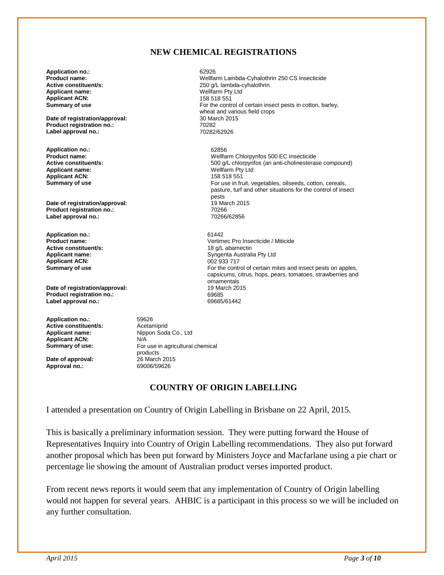#### **NEW CHEMICAL REGISTRATIONS**

**Application no.:** 62926 **Product name: Product name: Wellfarm Lambda-Cyhalothrin 250 CS Insecticide**<br> **Active constituent/s:** 250 a/L lambda-cyhalothrin 250 g/L lambda-cyhalothrin<br>Wellfarm Pty Ltd **Applicant name:** Wellfarm Pty Ltd **Applicant ACN:**<br>Summary of use For the control of certain insect pests in cotton, barley, wheat and various field crops<br>30 March 2015 **Date of registration/approval:** 30 March 2015 10 March 2015 2016<br>Product registration no.: 20282 **Product registration no.:** 70282 Label approval no.: **Application no.:** 62856 **Product name:** Wellfarm Chlorpyrifos 500 EC Insecticide 500 g/L chlorpyrifos (an anti-cholinesterase compound) **Applicant name:** Wellfarm Pty Ltd **Applicant ACN:**<br>Summary of use For use in fruit, vegetables, oilseeds, cotton, cereals, pasture, turf and other situations for the control of insect pests<br>19 March 2015 **Date of registration/approval: 19 March 2016** 19 March 2016<br> **Product registration no.: 19766 Product registration no.:** 70266 Label approval no.: **Application no.:** 61442 **Product name:** <br> **Product name:** <br> **Active constituent/s:** <br> **Active constituent/s:** <br> **Active constituent/s:** <br> **Active constituent/s: Active constituent/s:** <br> **Applicant name:** <br> **Applicant name:** <br> **Applicant name:** <br> **Applicant name:** <br> **Applicant name:** <br> **Applicant name:** <br> **Applicant name:** <br> **Applicant name:** <br> **Applicant name:** <br> **Applicant name:** Syngenta Australia Pty Ltd<br>002 933 717 **Applicant ACN:**<br>Summary of use For the control of certain mites and insect pests on apples, capsicums, citrus, hops, pears, tomatoes, strawberries and ornamentals<br>19 March 2015 **Date of registration/approval: Product registration no.:** 69685 Label approval no.: **Application no.:** 59626<br> **Active constituent/s:** Acetamiprid **Active constituent/s:**<br>Applicant name:

**Date of approval:** <sup>26</sup> March 2015<br> **Approval no.:** 69006/59626 Approval no.:

**Nippon Soda Co., Ltd Applicant ACN:** N/A<br> **Summary of use:** For For use in agricultural chemical products<br>26 March 2015

#### **COUNTRY OF ORIGIN LABELLING**

I attended a presentation on Country of Origin Labelling in Brisbane on 22 April, 2015.

This is basically a preliminary information session. They were putting forward the House of Representatives Inquiry into Country of Origin Labelling recommendations. They also put forward another proposal which has been put forward by Ministers Joyce and Macfarlane using a pie chart or percentage lie showing the amount of Australian product verses imported product.

From recent news reports it would seem that any implementation of Country of Origin labelling would not happen for several years. AHBIC is a participant in this process so we will be included on any further consultation.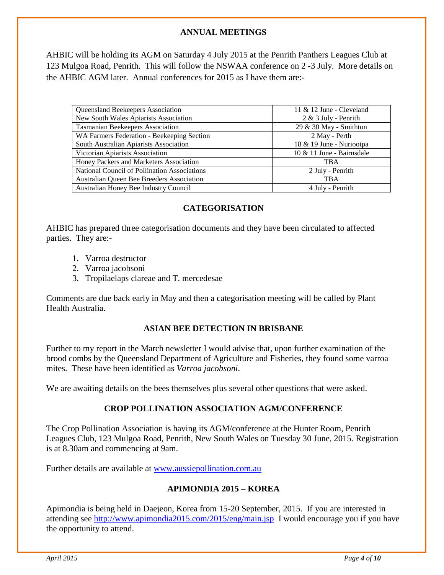#### **ANNUAL MEETINGS**

AHBIC will be holding its AGM on Saturday 4 July 2015 at the Penrith Panthers Leagues Club at 123 Mulgoa Road, Penrith. This will follow the NSWAA conference on 2 -3 July. More details on the AHBIC AGM later. Annual conferences for 2015 as I have them are:-

| Queensland Beekeepers Association            | 11 $&$ 12 June - Cleveland |
|----------------------------------------------|----------------------------|
| New South Wales Apiarists Association        | $2 & 3$ July - Penrith     |
| <b>Tasmanian Beekeepers Association</b>      | 29 & 30 May - Smithton     |
| WA Farmers Federation - Beekeeping Section   | 2 May - Perth              |
| South Australian Apiarists Association       | 18 & 19 June - Nuriootpa   |
| Victorian Apiarists Association              | 10 & 11 June - Bairnsdale  |
| Honey Packers and Marketers Association      | <b>TBA</b>                 |
| National Council of Pollination Associations | 2 July - Penrith           |
| Australian Queen Bee Breeders Association    | <b>TBA</b>                 |
| Australian Honey Bee Industry Council        | 4 July - Penrith           |

#### **CATEGORISATION**

AHBIC has prepared three categorisation documents and they have been circulated to affected parties. They are:-

- 1. Varroa destructor
- 2. Varroa jacobsoni
- 3. Tropilaelaps clareae and T. mercedesae

Comments are due back early in May and then a categorisation meeting will be called by Plant Health Australia.

#### **ASIAN BEE DETECTION IN BRISBANE**

Further to my report in the March newsletter I would advise that, upon further examination of the brood combs by the Queensland Department of Agriculture and Fisheries, they found some varroa mites. These have been identified as *Varroa jacobsoni*.

We are awaiting details on the bees themselves plus several other questions that were asked.

#### **CROP POLLINATION ASSOCIATION AGM/CONFERENCE**

The Crop Pollination Association is having its AGM/conference at the Hunter Room, Penrith Leagues Club, 123 Mulgoa Road, Penrith, New South Wales on Tuesday 30 June, 2015. Registration is at 8.30am and commencing at 9am.

Further details are available at [www.aussiepollination.com.au](http://www.aussiepollination.com.au/)

#### **APIMONDIA 2015 – KOREA**

Apimondia is being held in Daejeon, Korea from 15-20 September, 2015. If you are interested in attending see<http://www.apimondia2015.com/2015/eng/main.jsp>I would encourage you if you have the opportunity to attend.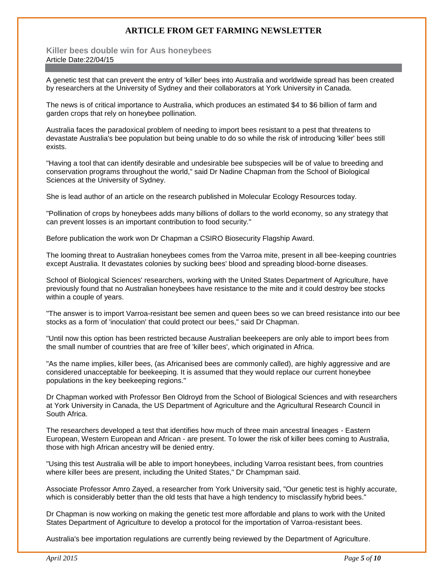#### **ARTICLE FROM GET FARMING NEWSLETTER**

**Killer bees double win for Aus honeybees**  Article Date:22/04/15

A genetic test that can prevent the entry of 'killer' bees into Australia and worldwide spread has been created by researchers at the University of Sydney and their collaborators at York University in Canada.

The news is of critical importance to Australia, which produces an estimated \$4 to \$6 billion of farm and garden crops that rely on honeybee pollination.

Australia faces the paradoxical problem of needing to import bees resistant to a pest that threatens to devastate Australia's bee population but being unable to do so while the risk of introducing 'killer' bees still exists.

"Having a tool that can identify desirable and undesirable bee subspecies will be of value to breeding and conservation programs throughout the world," said Dr Nadine Chapman from the School of Biological Sciences at the University of Sydney.

She is lead author of an article on the research published in Molecular Ecology Resources today.

"Pollination of crops by honeybees adds many billions of dollars to the world economy, so any strategy that can prevent losses is an important contribution to food security."

Before publication the work won Dr Chapman a CSIRO Biosecurity Flagship Award.

The looming threat to Australian honeybees comes from the Varroa mite, present in all bee-keeping countries except Australia. It devastates colonies by sucking bees' blood and spreading blood-borne diseases.

School of Biological Sciences' researchers, working with the United States Department of Agriculture, have previously found that no Australian honeybees have resistance to the mite and it could destroy bee stocks within a couple of years.

"The answer is to import Varroa-resistant bee semen and queen bees so we can breed resistance into our bee stocks as a form of 'inoculation' that could protect our bees," said Dr Chapman.

"Until now this option has been restricted because Australian beekeepers are only able to import bees from the small number of countries that are free of 'killer bees', which originated in Africa.

"As the name implies, killer bees, (as Africanised bees are commonly called), are highly aggressive and are considered unacceptable for beekeeping. It is assumed that they would replace our current honeybee populations in the key beekeeping regions."

Dr Chapman worked with Professor Ben Oldroyd from the School of Biological Sciences and with researchers at York University in Canada, the US Department of Agriculture and the Agricultural Research Council in South Africa.

The researchers developed a test that identifies how much of three main ancestral lineages - Eastern European, Western European and African - are present. To lower the risk of killer bees coming to Australia, those with high African ancestry will be denied entry.

"Using this test Australia will be able to import honeybees, including Varroa resistant bees, from countries where killer bees are present, including the United States," Dr Champman said.

Associate Professor Amro Zayed, a researcher from York University said, "Our genetic test is highly accurate, which is considerably better than the old tests that have a high tendency to misclassify hybrid bees."

Dr Chapman is now working on making the genetic test more affordable and plans to work with the United States Department of Agriculture to develop a protocol for the importation of Varroa-resistant bees.

Australia's bee importation regulations are currently being reviewed by the Department of Agriculture.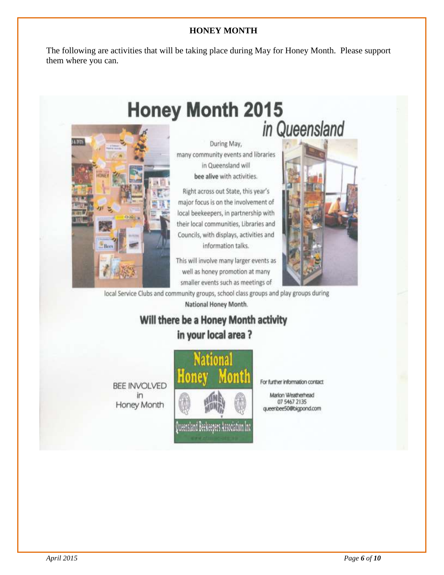#### **HONEY MONTH**

The following are activities that will be taking place during May for Honey Month. Please support them where you can.



During May, many community events and libraries in Queensland will bee alive with activities.

Right across out State, this year's major focus is on the involvement of local beekeepers, in partnership with their local communities, Libraries and Councils, with displays, activities and information talks.

This will involve many larger events as well as honey promotion at many smaller events such as meetings of



local Service Clubs and community groups, school class groups and play groups during National Honey Month.

### Will there be a Honey Month activity in your local area?

**BEE INVOLVED** Honey Month



For further information contact

Marion Weatherhead 07 5467 2135 queenbee50@bigpond.com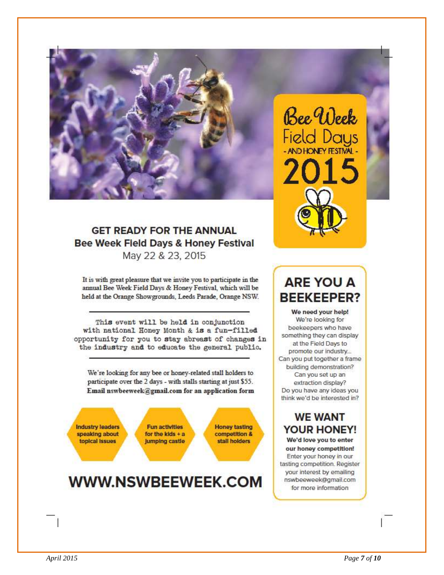

#### **GET READY FOR THE ANNUAL** Bee Week Field Days & Honey Festival May 22 & 23, 2015

It is with great pleasure that we invite you to participate in the annual Bee Week Field Days & Honey Festival, which will be held at the Orange Showgrounds, Leeds Parade, Orange NSW.

This event will be held in conjunction with national Honey Month & is a fun-filled opportunity for you to stay abreast of changes in the industry and to educate the general public.

We're looking for any bee or honey-related stall holders to participate over the 2 days - with stalls starting at just \$55. Email nswbeeweek@gmail.com for an application form

**Industry leaders** speaking about topical issues

**Fun activities** for the kids  $+$  a **Jumping castle** 

**Honey tasting** competition & stall holders

# WWW.NSWBEEWEEK.COM

# Bee Week Field Days

# **ARE YOU A BEEKEEPER?**

We need your help! We're looking for beekeepers who have something they can display at the Field Days to promote our industry... Can you put together a frame building demonstration? Can you set up an extraction display? Do you have any ideas you think we'd be interested in?

#### **WE WANT YOUR HONEY!**

We'd love you to enter our honey competition! Enter your honey in our tasting competition. Register your interest by emailing nswbeeweek@gmail.com for more information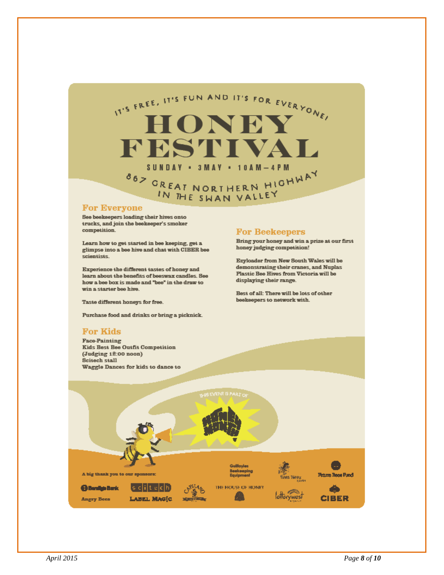

#### **For Everyone**

See beeksepers loading their hives onto trucks, and join the beekeeper's smoker competition.

Learn how to get started in bee keeping, get a glimpse into a bee hive and chat with CIBER bee scientists.

Experience the different tastes of honey and learn about the benefits of beeswax candles. See how a bee box is made and "bee" in the draw to win a starter bee hive.

Taste different honeys for free.

Purchase food and drinks or bring a picknick.

#### **For Kids**

**Face-Painting Kids Best Bee Outfit Competition** (Judging 12:00 noon) Scitech stall Waggle Dances for kids to dance to

#### **For Beekeepers**

Bring your honey and win a prize at our first honey judging competition!

Ezyloader from New South Wales will be demonstrating their cranes, and Nuplas Plastic Bee Hives from Victoria will be displaying their range.

Best of all: There will be lots of other beekeepers to network with.

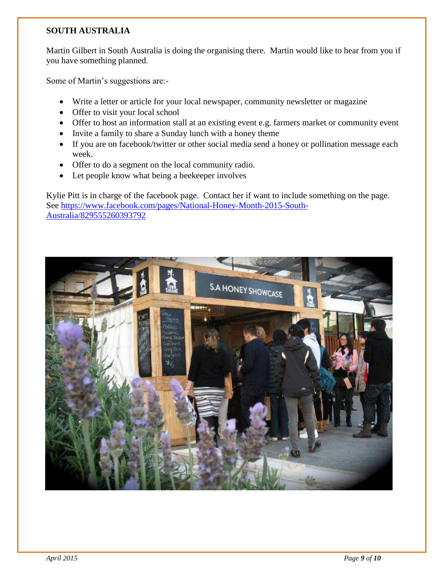#### **SOUTH AUSTRALIA**

Martin Gilbert in South Australia is doing the organising there. Martin would like to hear from you if you have something planned.

Some of Martin's suggestions are:-

- Write a letter or article for your local newspaper, community newsletter or magazine
- Offer to visit your local school
- Offer to host an information stall at an existing event e.g. farmers market or community event
- Invite a family to share a Sunday lunch with a honey theme
- If you are on facebook/twitter or other social media send a honey or pollination message each week.
- Offer to do a segment on the local community radio.
- Let people know what being a beekeeper involves

Kylie Pitt is in charge of the facebook page. Contact her if want to include something on the page. See [https://www.facebook.com/pages/National-Honey-Month-2015-South-](https://www.facebook.com/pages/National-Honey-Month-2015-South-Australia/829555260393792)[Australia/829555260393792](https://www.facebook.com/pages/National-Honey-Month-2015-South-Australia/829555260393792)